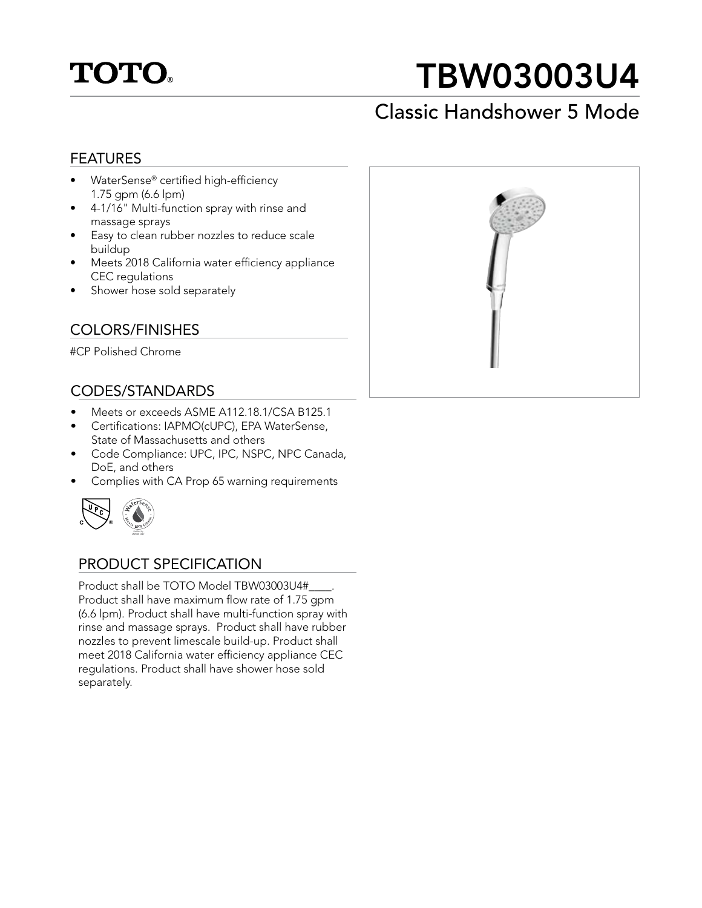

# TBW03003U4

## Classic Handshower 5 Mode

### FEATURES

- WaterSense® certified high-efficiency 1.75 gpm (6.6 lpm)
- 4-1/16" Multi-function spray with rinse and massage sprays
- Easy to clean rubber nozzles to reduce scale buildup
- Meets 2018 California water efficiency appliance CEC regulations
- Shower hose sold separately

### COLORS/FINISHES

#CP Polished Chrome

### CODES/STANDARDS

- Meets or exceeds ASME A112.18.1/CSA B125.1
- Certifications: IAPMO(cUPC), EPA WaterSense, State of Massachusetts and others
- Code Compliance: UPC, IPC, NSPC, NPC Canada, DoE, and others
- Complies with CA Prop 65 warning requirements



### PRODUCT SPECIFICATION

Product shall be TOTO Model TBW03003U4#\_\_\_\_. Product shall have maximum flow rate of 1.75 gpm (6.6 lpm). Product shall have multi-function spray with rinse and massage sprays. Product shall have rubber nozzles to prevent limescale build-up. Product shall meet 2018 California water efficiency appliance CEC regulations. Product shall have shower hose sold separately.